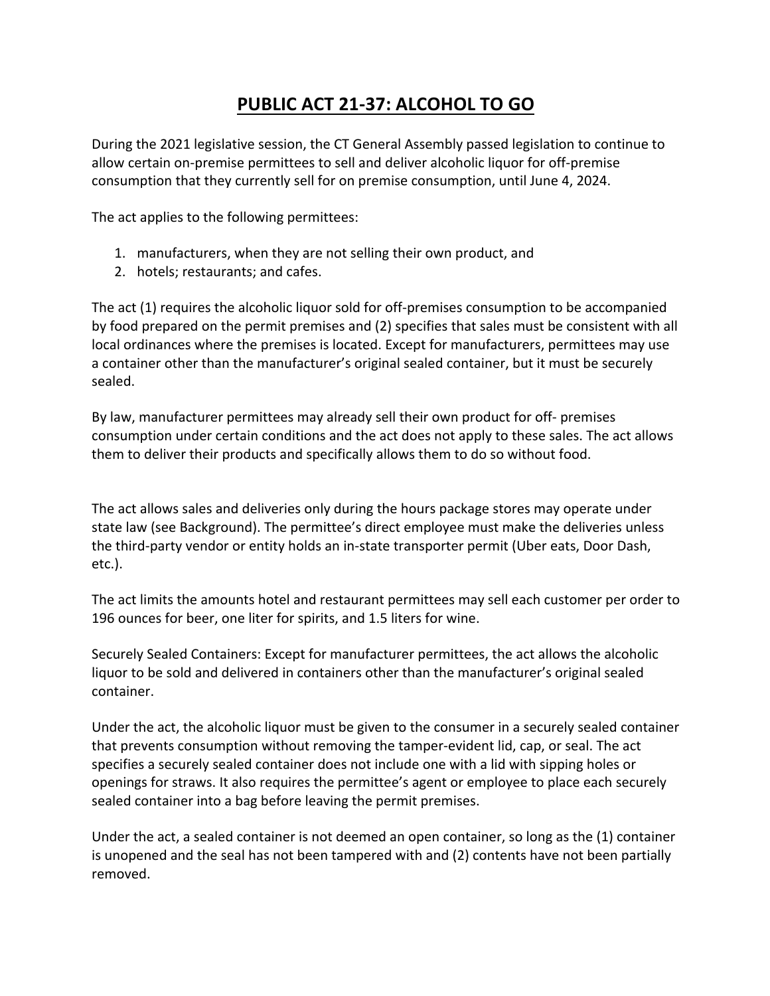## **PUBLIC ACT 21-37: ALCOHOL TO GO**

During the 2021 legislative session, the CT General Assembly passed legislation to continue to allow certain on-premise permittees to sell and deliver alcoholic liquor for off-premise consumption that they currently sell for on premise consumption, until June 4, 2024.

The act applies to the following permittees:

- 1. manufacturers, when they are not selling their own product, and
- 2. hotels; restaurants; and cafes.

The act (1) requires the alcoholic liquor sold for off-premises consumption to be accompanied by food prepared on the permit premises and (2) specifies that sales must be consistent with all local ordinances where the premises is located. Except for manufacturers, permittees may use a container other than the manufacturer's original sealed container, but it must be securely sealed.

By law, manufacturer permittees may already sell their own product for off- premises consumption under certain conditions and the act does not apply to these sales. The act allows them to deliver their products and specifically allows them to do so without food.

The act allows sales and deliveries only during the hours package stores may operate under state law (see Background). The permittee's direct employee must make the deliveries unless the third-party vendor or entity holds an in-state transporter permit (Uber eats, Door Dash, etc.).

The act limits the amounts hotel and restaurant permittees may sell each customer per order to 196 ounces for beer, one liter for spirits, and 1.5 liters for wine.

Securely Sealed Containers: Except for manufacturer permittees, the act allows the alcoholic liquor to be sold and delivered in containers other than the manufacturer's original sealed container.

Under the act, the alcoholic liquor must be given to the consumer in a securely sealed container that prevents consumption without removing the tamper-evident lid, cap, or seal. The act specifies a securely sealed container does not include one with a lid with sipping holes or openings for straws. It also requires the permittee's agent or employee to place each securely sealed container into a bag before leaving the permit premises.

Under the act, a sealed container is not deemed an open container, so long as the  $(1)$  container is unopened and the seal has not been tampered with and (2) contents have not been partially removed.